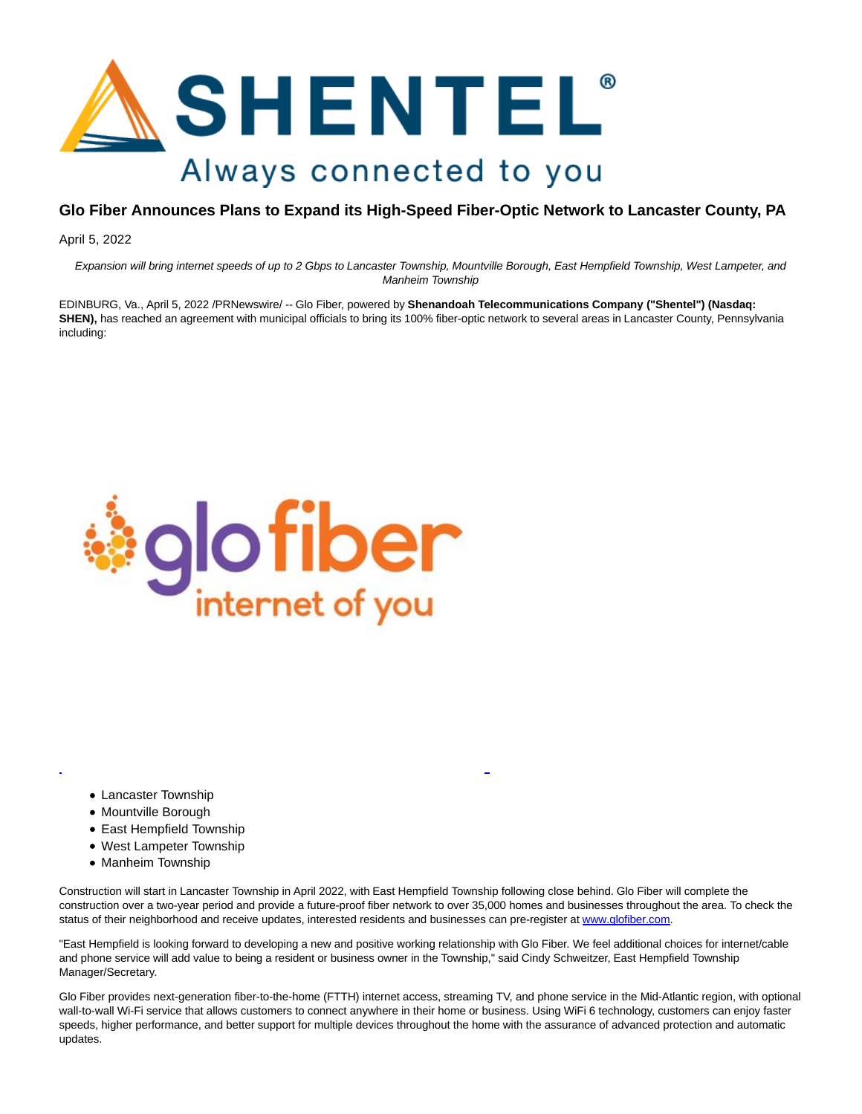

## **Glo Fiber Announces Plans to Expand its High-Speed Fiber-Optic Network to Lancaster County, PA**

April 5, 2022

Expansion will bring internet speeds of up to 2 Gbps to Lancaster Township, Mountville Borough, East Hempfield Township, West Lampeter, and Manheim Township

EDINBURG, Va., April 5, 2022 /PRNewswire/ -- Glo Fiber, powered by **Shenandoah Telecommunications Company ("Shentel") (Nasdaq: SHEN),** has reached an agreement with municipal officials to bring its 100% fiber-optic network to several areas in Lancaster County, Pennsylvania including:



- Lancaster Township
- Mountville Borough
- East Hempfield Township
- West Lampeter Township
- Manheim Township

Construction will start in Lancaster Township in April 2022, with East Hempfield Township following close behind. Glo Fiber will complete the construction over a two-year period and provide a future-proof fiber network to over 35,000 homes and businesses throughout the area. To check the status of their neighborhood and receive updates, interested residents and businesses can pre-register at [www.glofiber.com.](https://c212.net/c/link/?t=0&l=en&o=3492158-1&h=4258342303&u=http%3A%2F%2Fwww.glofiber.com%2F&a=www.glofiber.com)

 $\overline{a}$ 

"East Hempfield is looking forward to developing a new and positive working relationship with Glo Fiber. We feel additional choices for internet/cable and phone service will add value to being a resident or business owner in the Township," said Cindy Schweitzer, East Hempfield Township Manager/Secretary.

Glo Fiber provides next-generation fiber-to-the-home (FTTH) internet access, streaming TV, and phone service in the Mid-Atlantic region, with optional wall-to-wall Wi-Fi service that allows customers to connect anywhere in their home or business. Using WiFi 6 technology, customers can enjoy faster speeds, higher performance, and better support for multiple devices throughout the home with the assurance of advanced protection and automatic updates.